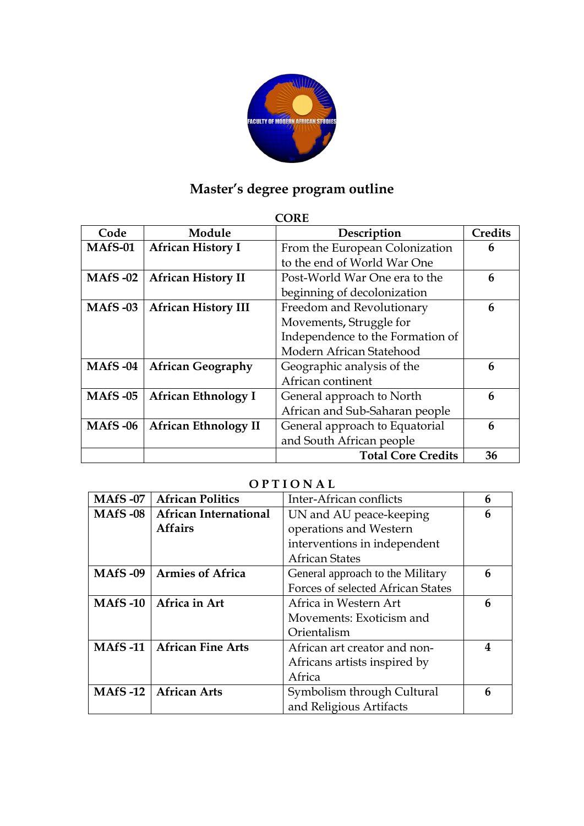

## **Master's degree program outline**

## **CORE**

| Code           | Module                      | Description                      | <b>Credits</b> |
|----------------|-----------------------------|----------------------------------|----------------|
| MAfS-01        | <b>African History I</b>    | From the European Colonization   | 6              |
|                |                             | to the end of World War One      |                |
| <b>MAfS-02</b> | <b>African History II</b>   | Post-World War One era to the    | 6              |
|                |                             | beginning of decolonization      |                |
| <b>MAfS-03</b> | <b>African History III</b>  | Freedom and Revolutionary        | 6              |
|                |                             | Movements, Struggle for          |                |
|                |                             | Independence to the Formation of |                |
|                |                             | Modern African Statehood         |                |
| <b>MAfS-04</b> | <b>African Geography</b>    | Geographic analysis of the       | 6              |
|                |                             | African continent                |                |
| <b>MAfS-05</b> | <b>African Ethnology I</b>  | General approach to North        | 6              |
|                |                             | African and Sub-Saharan people   |                |
| <b>MAfS-06</b> | <b>African Ethnology II</b> | General approach to Equatorial   | 6              |
|                |                             | and South African people         |                |
|                |                             | <b>Total Core Credits</b>        | 36             |

## **O P T I O N A L**

| <b>MAfS -07</b> | <b>African Politics</b>      | Inter-African conflicts           | 6 |
|-----------------|------------------------------|-----------------------------------|---|
| <b>MAfS -08</b> | <b>African International</b> | UN and AU peace-keeping           | 6 |
|                 | <b>Affairs</b>               | operations and Western            |   |
|                 |                              | interventions in independent      |   |
|                 |                              | <b>African States</b>             |   |
| <b>MAfS</b> -09 | <b>Armies of Africa</b>      | General approach to the Military  | 6 |
|                 |                              | Forces of selected African States |   |
| $MAfS-10$       | Africa in Art                | Africa in Western Art             | 6 |
|                 |                              | Movements: Exoticism and          |   |
|                 |                              | Orientalism                       |   |
| MAfS $-11$      | <b>African Fine Arts</b>     | African art creator and non-      | 4 |
|                 |                              | Africans artists inspired by      |   |
|                 |                              | Africa                            |   |
| MAfS -12 $ $    | <b>African Arts</b>          | Symbolism through Cultural        | 6 |
|                 |                              | and Religious Artifacts           |   |